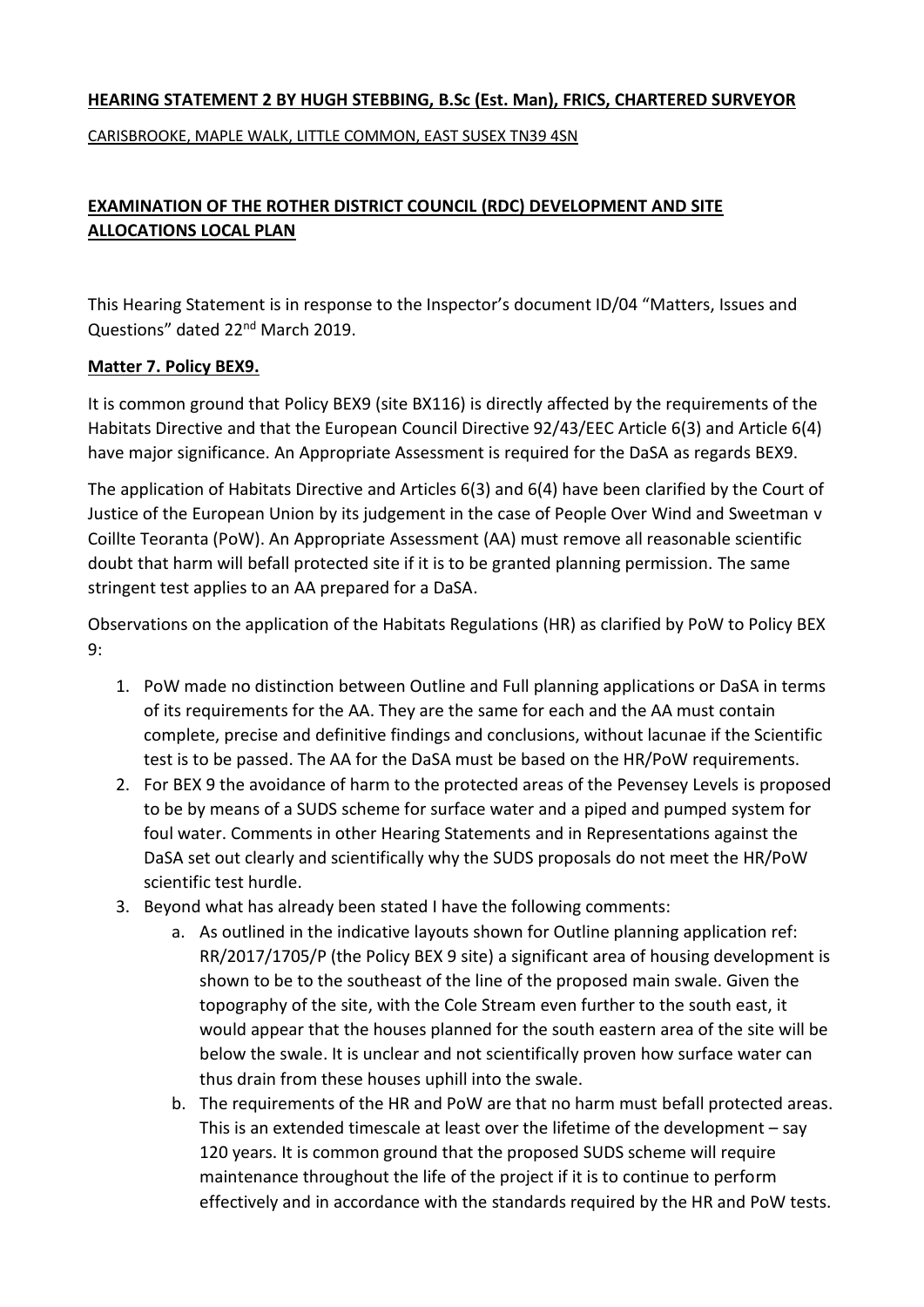## **HEARING STATEMENT 2 BY HUGH STEBBING, B.Sc (Est. Man), FRICS, CHARTERED SURVEYOR**

CARISBROOKE, MAPLE WALK, LITTLE COMMON, EAST SUSEX TN39 4SN

## **EXAMINATION OF THE ROTHER DISTRICT COUNCIL (RDC) DEVELOPMENT AND SITE ALLOCATIONS LOCAL PLAN**

This Hearing Statement is in response to the Inspector's document ID/04 "Matters, Issues and Questions" dated 22<sup>nd</sup> March 2019.

## **Matter 7. Policy BEX9.**

It is common ground that Policy BEX9 (site BX116) is directly affected by the requirements of the Habitats Directive and that the European Council Directive 92/43/EEC Article 6(3) and Article 6(4) have major significance. An Appropriate Assessment is required for the DaSA as regards BEX9.

The application of Habitats Directive and Articles 6(3) and 6(4) have been clarified by the Court of Justice of the European Union by its judgement in the case of People Over Wind and Sweetman v Coillte Teoranta (PoW). An Appropriate Assessment (AA) must remove all reasonable scientific doubt that harm will befall protected site if it is to be granted planning permission. The same stringent test applies to an AA prepared for a DaSA.

Observations on the application of the Habitats Regulations (HR) as clarified by PoW to Policy BEX 9:

- 1. PoW made no distinction between Outline and Full planning applications or DaSA in terms of its requirements for the AA. They are the same for each and the AA must contain complete, precise and definitive findings and conclusions, without lacunae if the Scientific test is to be passed. The AA for the DaSA must be based on the HR/PoW requirements.
- 2. For BEX 9 the avoidance of harm to the protected areas of the Pevensey Levels is proposed to be by means of a SUDS scheme for surface water and a piped and pumped system for foul water. Comments in other Hearing Statements and in Representations against the DaSA set out clearly and scientifically why the SUDS proposals do not meet the HR/PoW scientific test hurdle.
- 3. Beyond what has already been stated I have the following comments:
	- a. As outlined in the indicative layouts shown for Outline planning application ref: RR/2017/1705/P (the Policy BEX 9 site) a significant area of housing development is shown to be to the southeast of the line of the proposed main swale. Given the topography of the site, with the Cole Stream even further to the south east, it would appear that the houses planned for the south eastern area of the site will be below the swale. It is unclear and not scientifically proven how surface water can thus drain from these houses uphill into the swale.
	- b. The requirements of the HR and PoW are that no harm must befall protected areas. This is an extended timescale at least over the lifetime of the development – say 120 years. It is common ground that the proposed SUDS scheme will require maintenance throughout the life of the project if it is to continue to perform effectively and in accordance with the standards required by the HR and PoW tests.